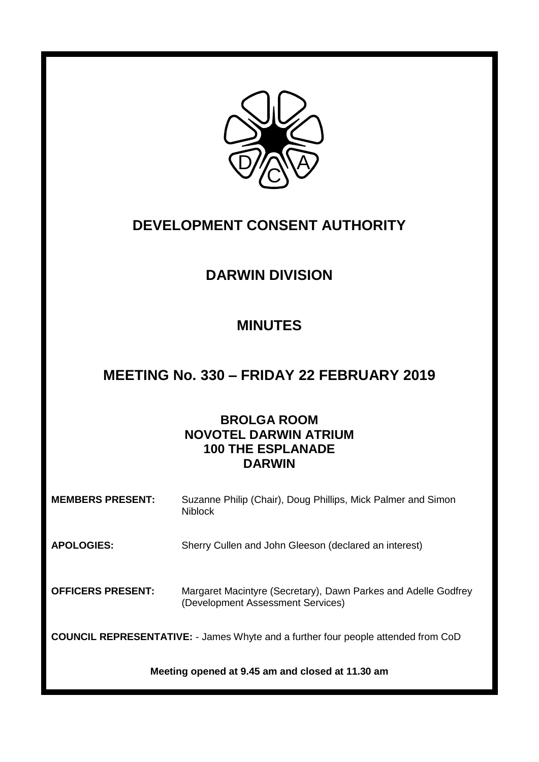

# **DEVELOPMENT CONSENT AUTHORITY**

# **DARWIN DIVISION**

## **MINUTES**

## **MEETING No. 330 – FRIDAY 22 FEBRUARY 2019**

## **BROLGA ROOM NOVOTEL DARWIN ATRIUM 100 THE ESPLANADE DARWIN**

| <b>MEMBERS PRESENT:</b>                                                                  | Suzanne Philip (Chair), Doug Phillips, Mick Palmer and Simon<br><b>Niblock</b>                      |
|------------------------------------------------------------------------------------------|-----------------------------------------------------------------------------------------------------|
| <b>APOLOGIES:</b>                                                                        | Sherry Cullen and John Gleeson (declared an interest)                                               |
| <b>OFFICERS PRESENT:</b>                                                                 | Margaret Macintyre (Secretary), Dawn Parkes and Adelle Godfrey<br>(Development Assessment Services) |
| <b>COUNCIL REPRESENTATIVE:</b> - James Whyte and a further four people attended from CoD |                                                                                                     |
| Meeting opened at 9.45 am and closed at 11.30 am                                         |                                                                                                     |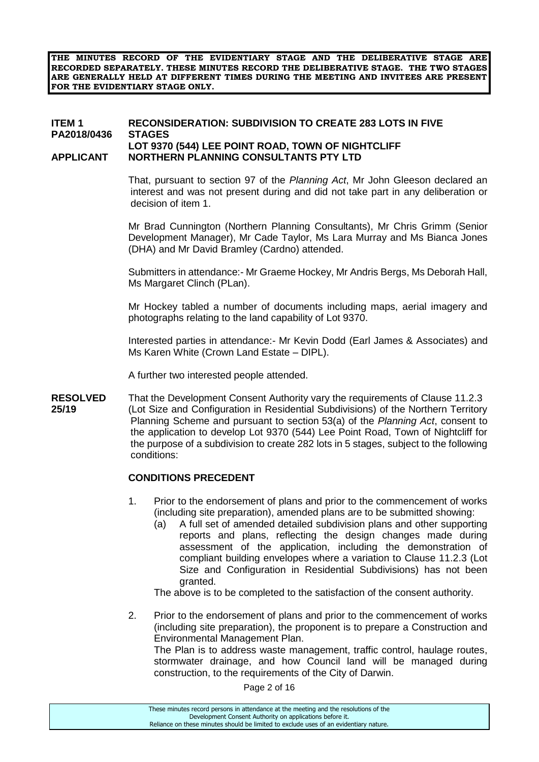**THE MINUTES RECORD OF THE EVIDENTIARY STAGE AND THE DELIBERATIVE STAGE ARE RECORDED SEPARATELY. THESE MINUTES RECORD THE DELIBERATIVE STAGE. THE TWO STAGES ARE GENERALLY HELD AT DIFFERENT TIMES DURING THE MEETING AND INVITEES ARE PRESENT FOR THE EVIDENTIARY STAGE ONLY.**

#### **ITEM 1 RECONSIDERATION: SUBDIVISION TO CREATE 283 LOTS IN FIVE PA2018/0436 STAGES LOT 9370 (544) LEE POINT ROAD, TOWN OF NIGHTCLIFF APPLICANT NORTHERN PLANNING CONSULTANTS PTY LTD**

That, pursuant to section 97 of the *Planning Act*, Mr John Gleeson declared an interest and was not present during and did not take part in any deliberation or decision of item 1.

Mr Brad Cunnington (Northern Planning Consultants), Mr Chris Grimm (Senior Development Manager), Mr Cade Taylor, Ms Lara Murray and Ms Bianca Jones (DHA) and Mr David Bramley (Cardno) attended.

Submitters in attendance:- Mr Graeme Hockey, Mr Andris Bergs, Ms Deborah Hall, Ms Margaret Clinch (PLan).

Mr Hockey tabled a number of documents including maps, aerial imagery and photographs relating to the land capability of Lot 9370.

Interested parties in attendance:- Mr Kevin Dodd (Earl James & Associates) and Ms Karen White (Crown Land Estate – DIPL).

A further two interested people attended.

**RESOLVED** That the Development Consent Authority vary the requirements of Clause 11.2.3 **25/19** (Lot Size and Configuration in Residential Subdivisions) of the Northern Territory Planning Scheme and pursuant to section 53(a) of the *Planning Act*, consent to the application to develop Lot 9370 (544) Lee Point Road, Town of Nightcliff for the purpose of a subdivision to create 282 lots in 5 stages, subject to the following conditions:

#### **CONDITIONS PRECEDENT**

- 1. Prior to the endorsement of plans and prior to the commencement of works (including site preparation), amended plans are to be submitted showing:
	- (a) A full set of amended detailed subdivision plans and other supporting reports and plans, reflecting the design changes made during assessment of the application, including the demonstration of compliant building envelopes where a variation to Clause 11.2.3 (Lot Size and Configuration in Residential Subdivisions) has not been granted.

The above is to be completed to the satisfaction of the consent authority.

2. Prior to the endorsement of plans and prior to the commencement of works (including site preparation), the proponent is to prepare a Construction and Environmental Management Plan.

The Plan is to address waste management, traffic control, haulage routes, stormwater drainage, and how Council land will be managed during construction, to the requirements of the City of Darwin.

Page 2 of 16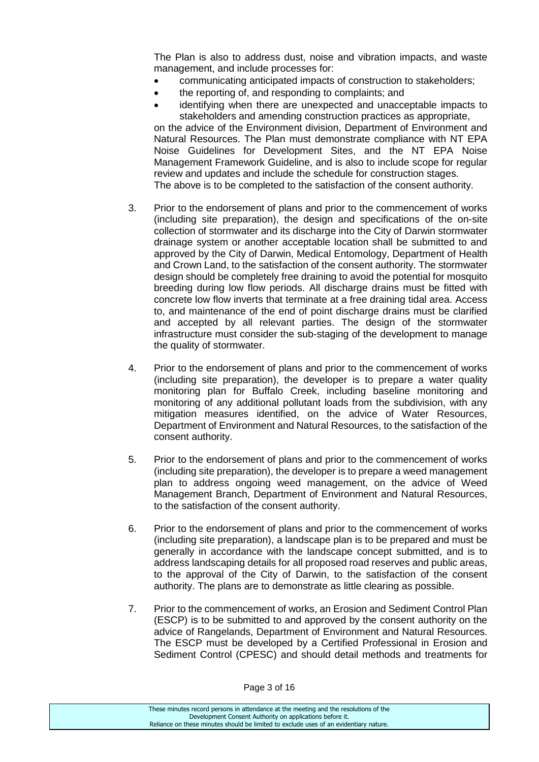The Plan is also to address dust, noise and vibration impacts, and waste management, and include processes for:

- communicating anticipated impacts of construction to stakeholders;
- the reporting of, and responding to complaints; and
- identifying when there are unexpected and unacceptable impacts to stakeholders and amending construction practices as appropriate,

on the advice of the Environment division, Department of Environment and Natural Resources. The Plan must demonstrate compliance with NT EPA Noise Guidelines for Development Sites, and the NT EPA Noise Management Framework Guideline, and is also to include scope for regular review and updates and include the schedule for construction stages. The above is to be completed to the satisfaction of the consent authority.

- 3. Prior to the endorsement of plans and prior to the commencement of works (including site preparation), the design and specifications of the on-site collection of stormwater and its discharge into the City of Darwin stormwater drainage system or another acceptable location shall be submitted to and approved by the City of Darwin, Medical Entomology, Department of Health and Crown Land, to the satisfaction of the consent authority. The stormwater design should be completely free draining to avoid the potential for mosquito breeding during low flow periods. All discharge drains must be fitted with concrete low flow inverts that terminate at a free draining tidal area. Access to, and maintenance of the end of point discharge drains must be clarified and accepted by all relevant parties. The design of the stormwater infrastructure must consider the sub-staging of the development to manage the quality of stormwater.
- 4. Prior to the endorsement of plans and prior to the commencement of works (including site preparation), the developer is to prepare a water quality monitoring plan for Buffalo Creek, including baseline monitoring and monitoring of any additional pollutant loads from the subdivision, with any mitigation measures identified, on the advice of Water Resources, Department of Environment and Natural Resources, to the satisfaction of the consent authority.
- 5. Prior to the endorsement of plans and prior to the commencement of works (including site preparation), the developer is to prepare a weed management plan to address ongoing weed management, on the advice of Weed Management Branch, Department of Environment and Natural Resources, to the satisfaction of the consent authority.
- 6. Prior to the endorsement of plans and prior to the commencement of works (including site preparation), a landscape plan is to be prepared and must be generally in accordance with the landscape concept submitted, and is to address landscaping details for all proposed road reserves and public areas, to the approval of the City of Darwin, to the satisfaction of the consent authority. The plans are to demonstrate as little clearing as possible.
- 7. Prior to the commencement of works, an Erosion and Sediment Control Plan (ESCP) is to be submitted to and approved by the consent authority on the advice of Rangelands, Department of Environment and Natural Resources. The ESCP must be developed by a Certified Professional in Erosion and Sediment Control (CPESC) and should detail methods and treatments for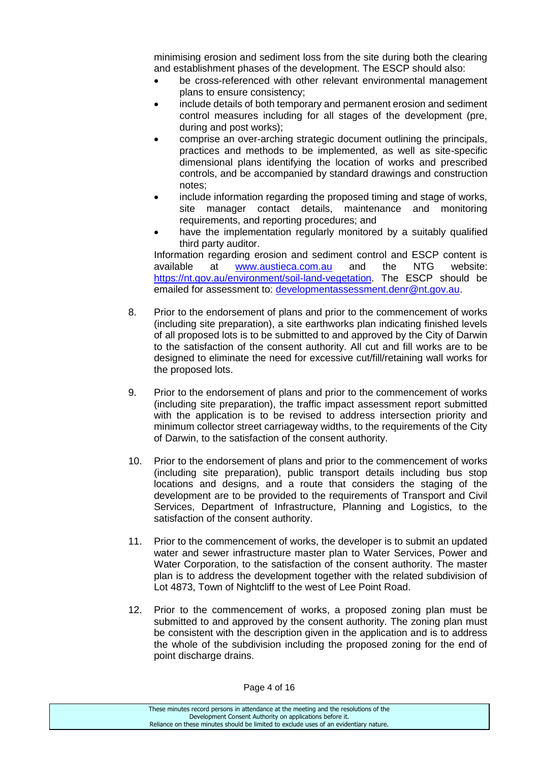minimising erosion and sediment loss from the site during both the clearing and establishment phases of the development. The ESCP should also:

- be cross-referenced with other relevant environmental management plans to ensure consistency;
- include details of both temporary and permanent erosion and sediment control measures including for all stages of the development (pre, during and post works);
- comprise an over-arching strategic document outlining the principals, practices and methods to be implemented, as well as site-specific dimensional plans identifying the location of works and prescribed controls, and be accompanied by standard drawings and construction notes;
- include information regarding the proposed timing and stage of works, site manager contact details, maintenance and monitoring requirements, and reporting procedures; and
- have the implementation regularly monitored by a suitably qualified third party auditor.

Information regarding erosion and sediment control and ESCP content is available at [www.austieca.com.au](http://www.austieca.com.au/) and the NTG website: [https://nt.gov.au/environment/soil-land-vegetation.](https://nt.gov.au/environment/soil-land-vegetation) The ESCP should be emailed for assessment to: [developmentassessment.denr@nt.gov.au.](mailto:developmentassessment.denr@nt.gov.au)

- 8. Prior to the endorsement of plans and prior to the commencement of works (including site preparation), a site earthworks plan indicating finished levels of all proposed lots is to be submitted to and approved by the City of Darwin to the satisfaction of the consent authority. All cut and fill works are to be designed to eliminate the need for excessive cut/fill/retaining wall works for the proposed lots.
- 9. Prior to the endorsement of plans and prior to the commencement of works (including site preparation), the traffic impact assessment report submitted with the application is to be revised to address intersection priority and minimum collector street carriageway widths, to the requirements of the City of Darwin, to the satisfaction of the consent authority.
- 10. Prior to the endorsement of plans and prior to the commencement of works (including site preparation), public transport details including bus stop locations and designs, and a route that considers the staging of the development are to be provided to the requirements of Transport and Civil Services, Department of Infrastructure, Planning and Logistics, to the satisfaction of the consent authority.
- 11. Prior to the commencement of works, the developer is to submit an updated water and sewer infrastructure master plan to Water Services, Power and Water Corporation, to the satisfaction of the consent authority. The master plan is to address the development together with the related subdivision of Lot 4873, Town of Nightcliff to the west of Lee Point Road.
- 12. Prior to the commencement of works, a proposed zoning plan must be submitted to and approved by the consent authority. The zoning plan must be consistent with the description given in the application and is to address the whole of the subdivision including the proposed zoning for the end of point discharge drains.

Page 4 of 16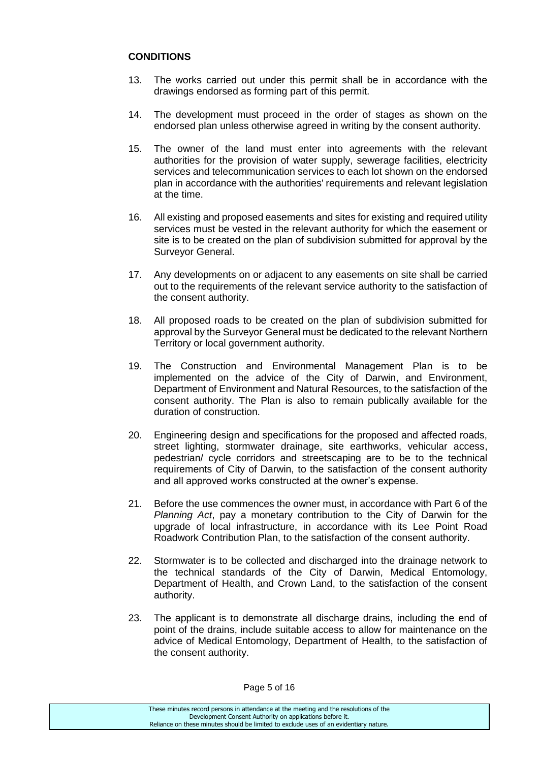### **CONDITIONS**

- 13. The works carried out under this permit shall be in accordance with the drawings endorsed as forming part of this permit.
- 14. The development must proceed in the order of stages as shown on the endorsed plan unless otherwise agreed in writing by the consent authority.
- 15. The owner of the land must enter into agreements with the relevant authorities for the provision of water supply, sewerage facilities, electricity services and telecommunication services to each lot shown on the endorsed plan in accordance with the authorities' requirements and relevant legislation at the time.
- 16. All existing and proposed easements and sites for existing and required utility services must be vested in the relevant authority for which the easement or site is to be created on the plan of subdivision submitted for approval by the Surveyor General.
- 17. Any developments on or adjacent to any easements on site shall be carried out to the requirements of the relevant service authority to the satisfaction of the consent authority.
- 18. All proposed roads to be created on the plan of subdivision submitted for approval by the Surveyor General must be dedicated to the relevant Northern Territory or local government authority.
- 19. The Construction and Environmental Management Plan is to be implemented on the advice of the City of Darwin, and Environment, Department of Environment and Natural Resources, to the satisfaction of the consent authority. The Plan is also to remain publically available for the duration of construction.
- 20. Engineering design and specifications for the proposed and affected roads, street lighting, stormwater drainage, site earthworks, vehicular access, pedestrian/ cycle corridors and streetscaping are to be to the technical requirements of City of Darwin, to the satisfaction of the consent authority and all approved works constructed at the owner's expense.
- 21. Before the use commences the owner must, in accordance with Part 6 of the *Planning Act*, pay a monetary contribution to the City of Darwin for the upgrade of local infrastructure, in accordance with its Lee Point Road Roadwork Contribution Plan, to the satisfaction of the consent authority.
- 22. Stormwater is to be collected and discharged into the drainage network to the technical standards of the City of Darwin, Medical Entomology, Department of Health, and Crown Land, to the satisfaction of the consent authority.
- 23. The applicant is to demonstrate all discharge drains, including the end of point of the drains, include suitable access to allow for maintenance on the advice of Medical Entomology, Department of Health, to the satisfaction of the consent authority.

Page 5 of 16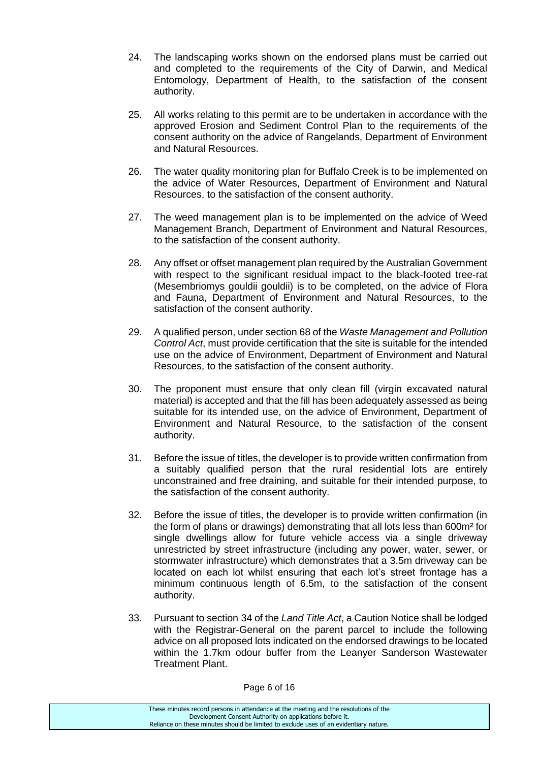- 24. The landscaping works shown on the endorsed plans must be carried out and completed to the requirements of the City of Darwin, and Medical Entomology, Department of Health, to the satisfaction of the consent authority.
- 25. All works relating to this permit are to be undertaken in accordance with the approved Erosion and Sediment Control Plan to the requirements of the consent authority on the advice of Rangelands, Department of Environment and Natural Resources.
- 26. The water quality monitoring plan for Buffalo Creek is to be implemented on the advice of Water Resources, Department of Environment and Natural Resources, to the satisfaction of the consent authority.
- 27. The weed management plan is to be implemented on the advice of Weed Management Branch, Department of Environment and Natural Resources, to the satisfaction of the consent authority.
- 28. Any offset or offset management plan required by the Australian Government with respect to the significant residual impact to the black-footed tree-rat (Mesembriomys gouldii gouldii) is to be completed, on the advice of Flora and Fauna, Department of Environment and Natural Resources, to the satisfaction of the consent authority.
- 29. A qualified person, under section 68 of the *Waste Management and Pollution Control Act*, must provide certification that the site is suitable for the intended use on the advice of Environment, Department of Environment and Natural Resources, to the satisfaction of the consent authority.
- 30. The proponent must ensure that only clean fill (virgin excavated natural material) is accepted and that the fill has been adequately assessed as being suitable for its intended use, on the advice of Environment, Department of Environment and Natural Resource, to the satisfaction of the consent authority.
- 31. Before the issue of titles, the developer is to provide written confirmation from a suitably qualified person that the rural residential lots are entirely unconstrained and free draining, and suitable for their intended purpose, to the satisfaction of the consent authority.
- 32. Before the issue of titles, the developer is to provide written confirmation (in the form of plans or drawings) demonstrating that all lots less than 600m² for single dwellings allow for future vehicle access via a single driveway unrestricted by street infrastructure (including any power, water, sewer, or stormwater infrastructure) which demonstrates that a 3.5m driveway can be located on each lot whilst ensuring that each lot's street frontage has a minimum continuous length of 6.5m, to the satisfaction of the consent authority.
- 33. Pursuant to section 34 of the *Land Title Act*, a Caution Notice shall be lodged with the Registrar-General on the parent parcel to include the following advice on all proposed lots indicated on the endorsed drawings to be located within the 1.7km odour buffer from the Leanyer Sanderson Wastewater Treatment Plant.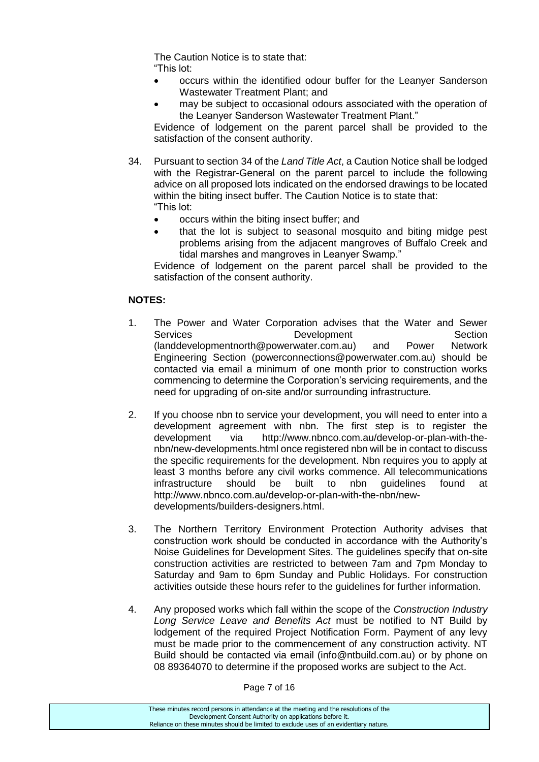The Caution Notice is to state that: "This lot:

- occurs within the identified odour buffer for the Leanyer Sanderson Wastewater Treatment Plant; and
- may be subject to occasional odours associated with the operation of the Leanyer Sanderson Wastewater Treatment Plant."

Evidence of lodgement on the parent parcel shall be provided to the satisfaction of the consent authority.

- 34. Pursuant to section 34 of the *Land Title Act*, a Caution Notice shall be lodged with the Registrar-General on the parent parcel to include the following advice on all proposed lots indicated on the endorsed drawings to be located within the biting insect buffer. The Caution Notice is to state that: "This lot:
	- occurs within the biting insect buffer; and
	- that the lot is subject to seasonal mosquito and biting midge pest problems arising from the adjacent mangroves of Buffalo Creek and tidal marshes and mangroves in Leanyer Swamp."

Evidence of lodgement on the parent parcel shall be provided to the satisfaction of the consent authority.

### **NOTES:**

- 1. The Power and Water Corporation advises that the Water and Sewer Services **Development** Development Section (landdevelopmentnorth@powerwater.com.au) and Power Network Engineering Section (powerconnections@powerwater.com.au) should be contacted via email a minimum of one month prior to construction works commencing to determine the Corporation's servicing requirements, and the need for upgrading of on-site and/or surrounding infrastructure.
- 2. If you choose nbn to service your development, you will need to enter into a development agreement with nbn. The first step is to register the development via http://www.nbnco.com.au/develop-or-plan-with-thenbn/new-developments.html once registered nbn will be in contact to discuss the specific requirements for the development. Nbn requires you to apply at least 3 months before any civil works commence. All telecommunications infrastructure should be built to nbn guidelines found at [http://www.nbnco.com.au/develop-or-plan-with-the-nbn/new](http://www.nbnco.com.au/develop-or-plan-with-the-nbn/new-developments/builders-designers.html)[developments/builders-designers.html.](http://www.nbnco.com.au/develop-or-plan-with-the-nbn/new-developments/builders-designers.html)
- 3. The Northern Territory Environment Protection Authority advises that construction work should be conducted in accordance with the Authority's Noise Guidelines for Development Sites. The guidelines specify that on-site construction activities are restricted to between 7am and 7pm Monday to Saturday and 9am to 6pm Sunday and Public Holidays. For construction activities outside these hours refer to the guidelines for further information.
- 4. Any proposed works which fall within the scope of the *Construction Industry Long Service Leave and Benefits Act* must be notified to NT Build by lodgement of the required Project Notification Form. Payment of any levy must be made prior to the commencement of any construction activity. NT Build should be contacted via email (info@ntbuild.com.au) or by phone on 08 89364070 to determine if the proposed works are subject to the Act.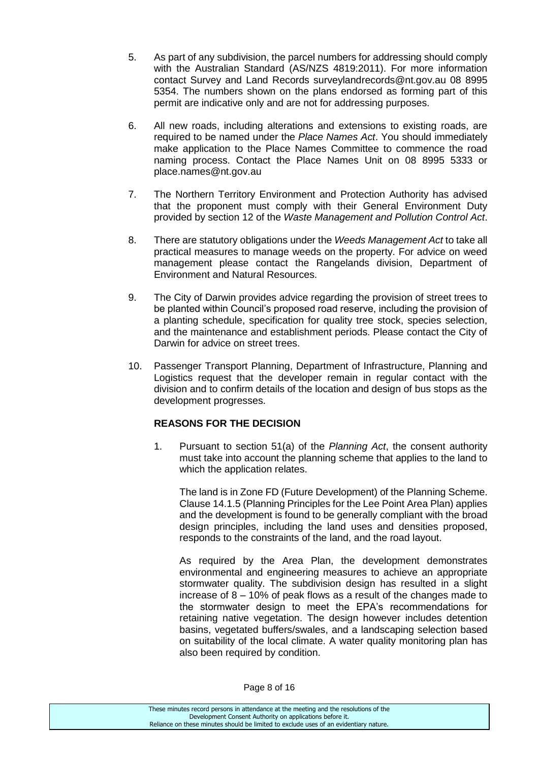- 5. As part of any subdivision, the parcel numbers for addressing should comply with the Australian Standard (AS/NZS 4819:2011). For more information contact Survey and Land Records surveylandrecords@nt.gov.au 08 8995 5354. The numbers shown on the plans endorsed as forming part of this permit are indicative only and are not for addressing purposes.
- 6. All new roads, including alterations and extensions to existing roads, are required to be named under the *Place Names Act*. You should immediately make application to the Place Names Committee to commence the road naming process. Contact the Place Names Unit on 08 8995 5333 or [place.names@nt.gov.au](mailto:place.names@nt.gov.au)
- 7. The Northern Territory Environment and Protection Authority has advised that the proponent must comply with their General Environment Duty provided by section 12 of the *Waste Management and Pollution Control Act*.
- 8. There are statutory obligations under the *Weeds Management Act* to take all practical measures to manage weeds on the property. For advice on weed management please contact the Rangelands division, Department of Environment and Natural Resources.
- 9. The City of Darwin provides advice regarding the provision of street trees to be planted within Council's proposed road reserve, including the provision of a planting schedule, specification for quality tree stock, species selection, and the maintenance and establishment periods. Please contact the City of Darwin for advice on street trees.
- 10. Passenger Transport Planning, Department of Infrastructure, Planning and Logistics request that the developer remain in regular contact with the division and to confirm details of the location and design of bus stops as the development progresses.

### **REASONS FOR THE DECISION**

1. Pursuant to section 51(a) of the *Planning Act*, the consent authority must take into account the planning scheme that applies to the land to which the application relates.

The land is in Zone FD (Future Development) of the Planning Scheme. Clause 14.1.5 (Planning Principles for the Lee Point Area Plan) applies and the development is found to be generally compliant with the broad design principles, including the land uses and densities proposed, responds to the constraints of the land, and the road layout.

As required by the Area Plan, the development demonstrates environmental and engineering measures to achieve an appropriate stormwater quality. The subdivision design has resulted in a slight increase of 8 – 10% of peak flows as a result of the changes made to the stormwater design to meet the EPA's recommendations for retaining native vegetation. The design however includes detention basins, vegetated buffers/swales, and a landscaping selection based on suitability of the local climate. A water quality monitoring plan has also been required by condition.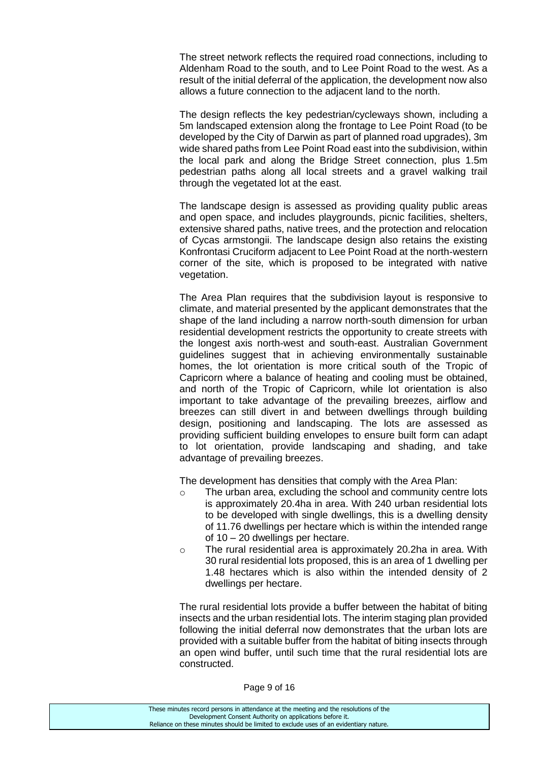The street network reflects the required road connections, including to Aldenham Road to the south, and to Lee Point Road to the west. As a result of the initial deferral of the application, the development now also allows a future connection to the adjacent land to the north.

The design reflects the key pedestrian/cycleways shown, including a 5m landscaped extension along the frontage to Lee Point Road (to be developed by the City of Darwin as part of planned road upgrades), 3m wide shared paths from Lee Point Road east into the subdivision, within the local park and along the Bridge Street connection, plus 1.5m pedestrian paths along all local streets and a gravel walking trail through the vegetated lot at the east.

The landscape design is assessed as providing quality public areas and open space, and includes playgrounds, picnic facilities, shelters, extensive shared paths, native trees, and the protection and relocation of Cycas armstongii. The landscape design also retains the existing Konfrontasi Cruciform adjacent to Lee Point Road at the north-western corner of the site, which is proposed to be integrated with native vegetation.

The Area Plan requires that the subdivision layout is responsive to climate, and material presented by the applicant demonstrates that the shape of the land including a narrow north-south dimension for urban residential development restricts the opportunity to create streets with the longest axis north-west and south-east. Australian Government guidelines suggest that in achieving environmentally sustainable homes, the lot orientation is more critical south of the Tropic of Capricorn where a balance of heating and cooling must be obtained, and north of the Tropic of Capricorn, while lot orientation is also important to take advantage of the prevailing breezes, airflow and breezes can still divert in and between dwellings through building design, positioning and landscaping. The lots are assessed as providing sufficient building envelopes to ensure built form can adapt to lot orientation, provide landscaping and shading, and take advantage of prevailing breezes.

The development has densities that comply with the Area Plan:

- o The urban area, excluding the school and community centre lots is approximately 20.4ha in area. With 240 urban residential lots to be developed with single dwellings, this is a dwelling density of 11.76 dwellings per hectare which is within the intended range of 10 – 20 dwellings per hectare.
- o The rural residential area is approximately 20.2ha in area. With 30 rural residential lots proposed, this is an area of 1 dwelling per 1.48 hectares which is also within the intended density of 2 dwellings per hectare.

The rural residential lots provide a buffer between the habitat of biting insects and the urban residential lots. The interim staging plan provided following the initial deferral now demonstrates that the urban lots are provided with a suitable buffer from the habitat of biting insects through an open wind buffer, until such time that the rural residential lots are constructed.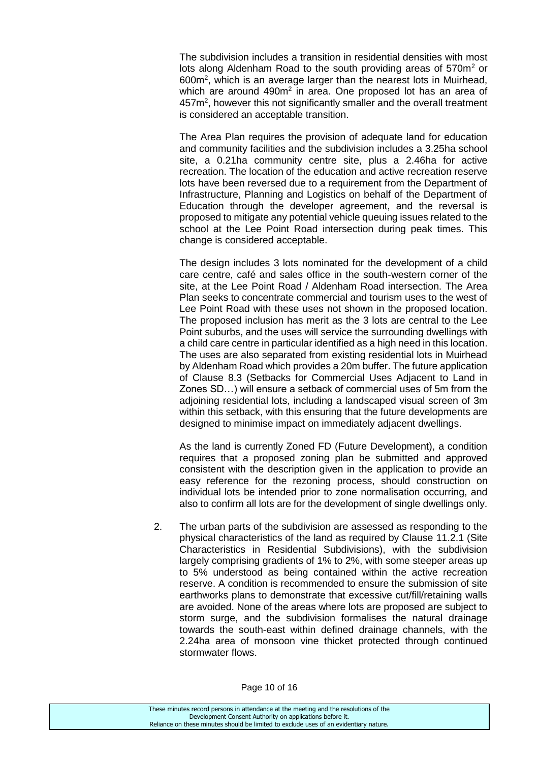The subdivision includes a transition in residential densities with most lots along Aldenham Road to the south providing areas of 570m<sup>2</sup> or 600m<sup>2</sup>, which is an average larger than the nearest lots in Muirhead, which are around  $490m^2$  in area. One proposed lot has an area of 457m<sup>2</sup>, however this not significantly smaller and the overall treatment is considered an acceptable transition.

The Area Plan requires the provision of adequate land for education and community facilities and the subdivision includes a 3.25ha school site, a 0.21ha community centre site, plus a 2.46ha for active recreation. The location of the education and active recreation reserve lots have been reversed due to a requirement from the Department of Infrastructure, Planning and Logistics on behalf of the Department of Education through the developer agreement, and the reversal is proposed to mitigate any potential vehicle queuing issues related to the school at the Lee Point Road intersection during peak times. This change is considered acceptable.

The design includes 3 lots nominated for the development of a child care centre, café and sales office in the south-western corner of the site, at the Lee Point Road / Aldenham Road intersection. The Area Plan seeks to concentrate commercial and tourism uses to the west of Lee Point Road with these uses not shown in the proposed location. The proposed inclusion has merit as the 3 lots are central to the Lee Point suburbs, and the uses will service the surrounding dwellings with a child care centre in particular identified as a high need in this location. The uses are also separated from existing residential lots in Muirhead by Aldenham Road which provides a 20m buffer. The future application of Clause 8.3 (Setbacks for Commercial Uses Adjacent to Land in Zones SD…) will ensure a setback of commercial uses of 5m from the adjoining residential lots, including a landscaped visual screen of 3m within this setback, with this ensuring that the future developments are designed to minimise impact on immediately adjacent dwellings.

As the land is currently Zoned FD (Future Development), a condition requires that a proposed zoning plan be submitted and approved consistent with the description given in the application to provide an easy reference for the rezoning process, should construction on individual lots be intended prior to zone normalisation occurring, and also to confirm all lots are for the development of single dwellings only.

2. The urban parts of the subdivision are assessed as responding to the physical characteristics of the land as required by Clause 11.2.1 (Site Characteristics in Residential Subdivisions), with the subdivision largely comprising gradients of 1% to 2%, with some steeper areas up to 5% understood as being contained within the active recreation reserve. A condition is recommended to ensure the submission of site earthworks plans to demonstrate that excessive cut/fill/retaining walls are avoided. None of the areas where lots are proposed are subject to storm surge, and the subdivision formalises the natural drainage towards the south-east within defined drainage channels, with the 2.24ha area of monsoon vine thicket protected through continued stormwater flows.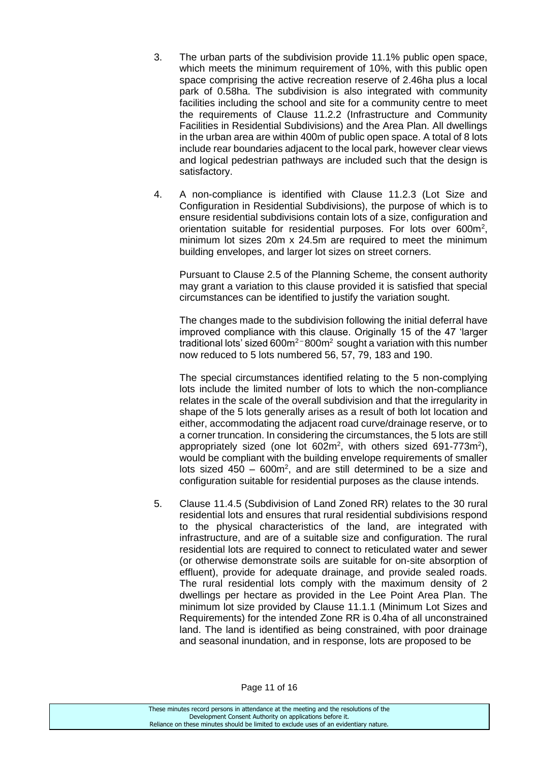- 3. The urban parts of the subdivision provide 11.1% public open space, which meets the minimum requirement of 10%, with this public open space comprising the active recreation reserve of 2.46ha plus a local park of 0.58ha. The subdivision is also integrated with community facilities including the school and site for a community centre to meet the requirements of Clause 11.2.2 (Infrastructure and Community Facilities in Residential Subdivisions) and the Area Plan. All dwellings in the urban area are within 400m of public open space. A total of 8 lots include rear boundaries adjacent to the local park, however clear views and logical pedestrian pathways are included such that the design is satisfactory.
- 4. A non-compliance is identified with Clause 11.2.3 (Lot Size and Configuration in Residential Subdivisions), the purpose of which is to ensure residential subdivisions contain lots of a size, configuration and orientation suitable for residential purposes. For lots over 600m<sup>2</sup>, minimum lot sizes 20m x 24.5m are required to meet the minimum building envelopes, and larger lot sizes on street corners.

Pursuant to Clause 2.5 of the Planning Scheme, the consent authority may grant a variation to this clause provided it is satisfied that special circumstances can be identified to justify the variation sought.

The changes made to the subdivision following the initial deferral have improved compliance with this clause. Originally 15 of the 47 'larger traditional lots' sized  $600m^2$  –  $800m^2$  sought a variation with this number now reduced to 5 lots numbered 56, 57, 79, 183 and 190.

The special circumstances identified relating to the 5 non-complying lots include the limited number of lots to which the non-compliance relates in the scale of the overall subdivision and that the irregularity in shape of the 5 lots generally arises as a result of both lot location and either, accommodating the adjacent road curve/drainage reserve, or to a corner truncation. In considering the circumstances, the 5 lots are still appropriately sized (one lot  $602m^2$ , with others sized  $691-773m^2$ ), would be compliant with the building envelope requirements of smaller lots sized  $450 - 600m^2$ , and are still determined to be a size and configuration suitable for residential purposes as the clause intends.

5. Clause 11.4.5 (Subdivision of Land Zoned RR) relates to the 30 rural residential lots and ensures that rural residential subdivisions respond to the physical characteristics of the land, are integrated with infrastructure, and are of a suitable size and configuration. The rural residential lots are required to connect to reticulated water and sewer (or otherwise demonstrate soils are suitable for on-site absorption of effluent), provide for adequate drainage, and provide sealed roads. The rural residential lots comply with the maximum density of 2 dwellings per hectare as provided in the Lee Point Area Plan. The minimum lot size provided by Clause 11.1.1 (Minimum Lot Sizes and Requirements) for the intended Zone RR is 0.4ha of all unconstrained land. The land is identified as being constrained, with poor drainage and seasonal inundation, and in response, lots are proposed to be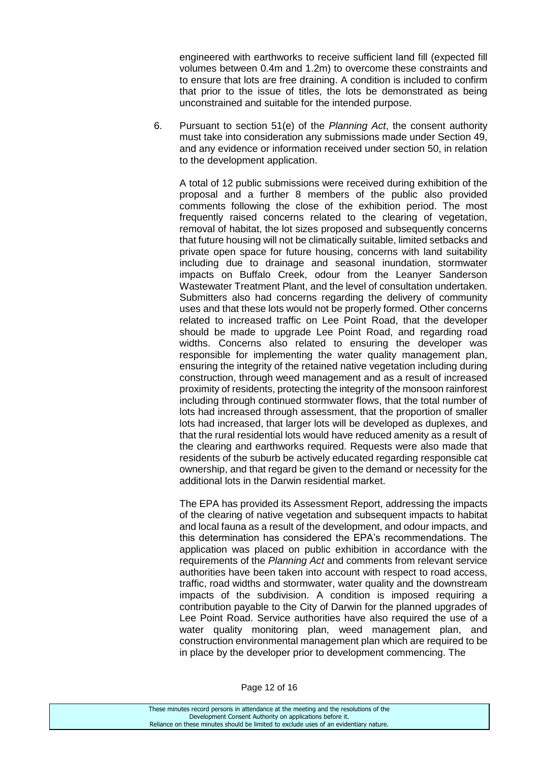engineered with earthworks to receive sufficient land fill (expected fill volumes between 0.4m and 1.2m) to overcome these constraints and to ensure that lots are free draining. A condition is included to confirm that prior to the issue of titles, the lots be demonstrated as being unconstrained and suitable for the intended purpose.

6. Pursuant to section 51(e) of the *Planning Act*, the consent authority must take into consideration any submissions made under Section 49, and any evidence or information received under section 50, in relation to the development application.

A total of 12 public submissions were received during exhibition of the proposal and a further 8 members of the public also provided comments following the close of the exhibition period. The most frequently raised concerns related to the clearing of vegetation, removal of habitat, the lot sizes proposed and subsequently concerns that future housing will not be climatically suitable, limited setbacks and private open space for future housing, concerns with land suitability including due to drainage and seasonal inundation, stormwater impacts on Buffalo Creek, odour from the Leanyer Sanderson Wastewater Treatment Plant, and the level of consultation undertaken. Submitters also had concerns regarding the delivery of community uses and that these lots would not be properly formed. Other concerns related to increased traffic on Lee Point Road, that the developer should be made to upgrade Lee Point Road, and regarding road widths. Concerns also related to ensuring the developer was responsible for implementing the water quality management plan, ensuring the integrity of the retained native vegetation including during construction, through weed management and as a result of increased proximity of residents, protecting the integrity of the monsoon rainforest including through continued stormwater flows, that the total number of lots had increased through assessment, that the proportion of smaller lots had increased, that larger lots will be developed as duplexes, and that the rural residential lots would have reduced amenity as a result of the clearing and earthworks required. Requests were also made that residents of the suburb be actively educated regarding responsible cat ownership, and that regard be given to the demand or necessity for the additional lots in the Darwin residential market.

The EPA has provided its Assessment Report, addressing the impacts of the clearing of native vegetation and subsequent impacts to habitat and local fauna as a result of the development, and odour impacts, and this determination has considered the EPA's recommendations. The application was placed on public exhibition in accordance with the requirements of the *Planning Act* and comments from relevant service authorities have been taken into account with respect to road access, traffic, road widths and stormwater, water quality and the downstream impacts of the subdivision. A condition is imposed requiring a contribution payable to the City of Darwin for the planned upgrades of Lee Point Road. Service authorities have also required the use of a water quality monitoring plan, weed management plan, and construction environmental management plan which are required to be in place by the developer prior to development commencing. The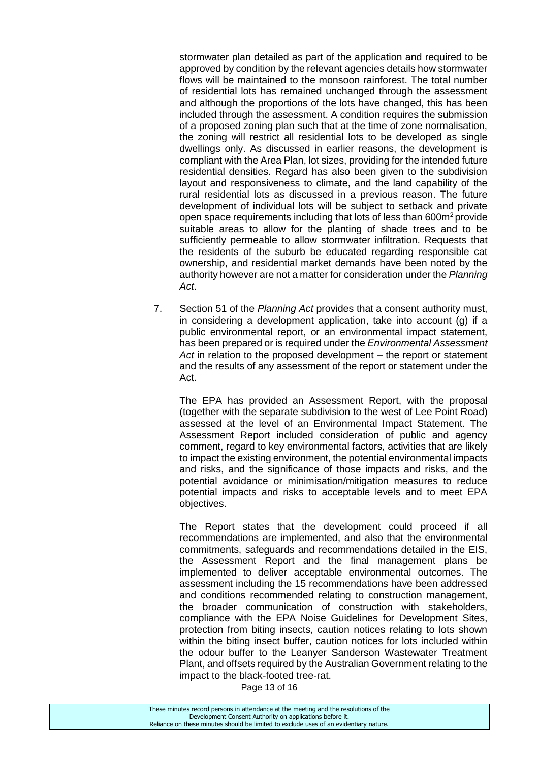stormwater plan detailed as part of the application and required to be approved by condition by the relevant agencies details how stormwater flows will be maintained to the monsoon rainforest. The total number of residential lots has remained unchanged through the assessment and although the proportions of the lots have changed, this has been included through the assessment. A condition requires the submission of a proposed zoning plan such that at the time of zone normalisation, the zoning will restrict all residential lots to be developed as single dwellings only. As discussed in earlier reasons, the development is compliant with the Area Plan, lot sizes, providing for the intended future residential densities. Regard has also been given to the subdivision layout and responsiveness to climate, and the land capability of the rural residential lots as discussed in a previous reason. The future development of individual lots will be subject to setback and private open space requirements including that lots of less than 600m<sup>2</sup> provide suitable areas to allow for the planting of shade trees and to be sufficiently permeable to allow stormwater infiltration. Requests that the residents of the suburb be educated regarding responsible cat ownership, and residential market demands have been noted by the authority however are not a matter for consideration under the *Planning Act*.

7. Section 51 of the *Planning Act* provides that a consent authority must, in considering a development application, take into account (g) if a public environmental report, or an environmental impact statement, has been prepared or is required under the *Environmental Assessment Act* in relation to the proposed development – the report or statement and the results of any assessment of the report or statement under the Act.

The EPA has provided an Assessment Report, with the proposal (together with the separate subdivision to the west of Lee Point Road) assessed at the level of an Environmental Impact Statement. The Assessment Report included consideration of public and agency comment, regard to key environmental factors, activities that are likely to impact the existing environment, the potential environmental impacts and risks, and the significance of those impacts and risks, and the potential avoidance or minimisation/mitigation measures to reduce potential impacts and risks to acceptable levels and to meet EPA objectives.

The Report states that the development could proceed if all recommendations are implemented, and also that the environmental commitments, safeguards and recommendations detailed in the EIS, the Assessment Report and the final management plans be implemented to deliver acceptable environmental outcomes. The assessment including the 15 recommendations have been addressed and conditions recommended relating to construction management, the broader communication of construction with stakeholders, compliance with the EPA Noise Guidelines for Development Sites, protection from biting insects, caution notices relating to lots shown within the biting insect buffer, caution notices for lots included within the odour buffer to the Leanyer Sanderson Wastewater Treatment Plant, and offsets required by the Australian Government relating to the impact to the black-footed tree-rat.

Page 13 of 16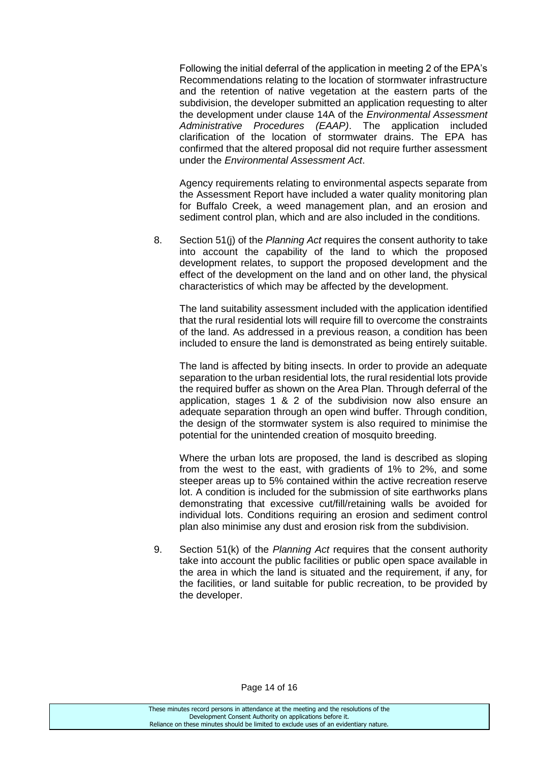Following the initial deferral of the application in meeting 2 of the EPA's Recommendations relating to the location of stormwater infrastructure and the retention of native vegetation at the eastern parts of the subdivision, the developer submitted an application requesting to alter the development under clause 14A of the *Environmental Assessment Administrative Procedures (EAAP)*. The application included clarification of the location of stormwater drains. The EPA has confirmed that the altered proposal did not require further assessment under the *Environmental Assessment Act*.

Agency requirements relating to environmental aspects separate from the Assessment Report have included a water quality monitoring plan for Buffalo Creek, a weed management plan, and an erosion and sediment control plan, which and are also included in the conditions.

8. Section 51(j) of the *Planning Act* requires the consent authority to take into account the capability of the land to which the proposed development relates, to support the proposed development and the effect of the development on the land and on other land, the physical characteristics of which may be affected by the development.

The land suitability assessment included with the application identified that the rural residential lots will require fill to overcome the constraints of the land. As addressed in a previous reason, a condition has been included to ensure the land is demonstrated as being entirely suitable.

The land is affected by biting insects. In order to provide an adequate separation to the urban residential lots, the rural residential lots provide the required buffer as shown on the Area Plan. Through deferral of the application, stages 1 & 2 of the subdivision now also ensure an adequate separation through an open wind buffer. Through condition, the design of the stormwater system is also required to minimise the potential for the unintended creation of mosquito breeding.

Where the urban lots are proposed, the land is described as sloping from the west to the east, with gradients of 1% to 2%, and some steeper areas up to 5% contained within the active recreation reserve lot. A condition is included for the submission of site earthworks plans demonstrating that excessive cut/fill/retaining walls be avoided for individual lots. Conditions requiring an erosion and sediment control plan also minimise any dust and erosion risk from the subdivision.

9. Section 51(k) of the *Planning Act* requires that the consent authority take into account the public facilities or public open space available in the area in which the land is situated and the requirement, if any, for the facilities, or land suitable for public recreation, to be provided by the developer.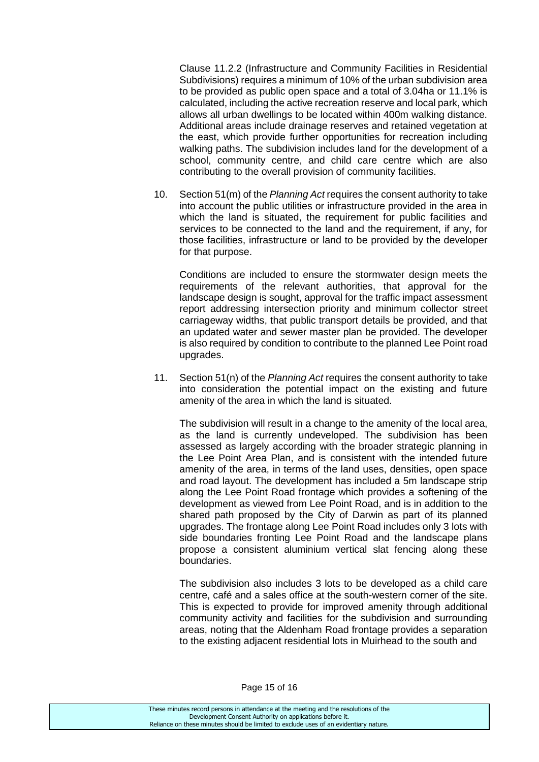Clause 11.2.2 (Infrastructure and Community Facilities in Residential Subdivisions) requires a minimum of 10% of the urban subdivision area to be provided as public open space and a total of 3.04ha or 11.1% is calculated, including the active recreation reserve and local park, which allows all urban dwellings to be located within 400m walking distance. Additional areas include drainage reserves and retained vegetation at the east, which provide further opportunities for recreation including walking paths. The subdivision includes land for the development of a school, community centre, and child care centre which are also contributing to the overall provision of community facilities.

10. Section 51(m) of the *Planning Act* requires the consent authority to take into account the public utilities or infrastructure provided in the area in which the land is situated, the requirement for public facilities and services to be connected to the land and the requirement, if any, for those facilities, infrastructure or land to be provided by the developer for that purpose.

Conditions are included to ensure the stormwater design meets the requirements of the relevant authorities, that approval for the landscape design is sought, approval for the traffic impact assessment report addressing intersection priority and minimum collector street carriageway widths, that public transport details be provided, and that an updated water and sewer master plan be provided. The developer is also required by condition to contribute to the planned Lee Point road upgrades.

11. Section 51(n) of the *Planning Act* requires the consent authority to take into consideration the potential impact on the existing and future amenity of the area in which the land is situated.

The subdivision will result in a change to the amenity of the local area, as the land is currently undeveloped. The subdivision has been assessed as largely according with the broader strategic planning in the Lee Point Area Plan, and is consistent with the intended future amenity of the area, in terms of the land uses, densities, open space and road layout. The development has included a 5m landscape strip along the Lee Point Road frontage which provides a softening of the development as viewed from Lee Point Road, and is in addition to the shared path proposed by the City of Darwin as part of its planned upgrades. The frontage along Lee Point Road includes only 3 lots with side boundaries fronting Lee Point Road and the landscape plans propose a consistent aluminium vertical slat fencing along these boundaries.

The subdivision also includes 3 lots to be developed as a child care centre, café and a sales office at the south-western corner of the site. This is expected to provide for improved amenity through additional community activity and facilities for the subdivision and surrounding areas, noting that the Aldenham Road frontage provides a separation to the existing adjacent residential lots in Muirhead to the south and